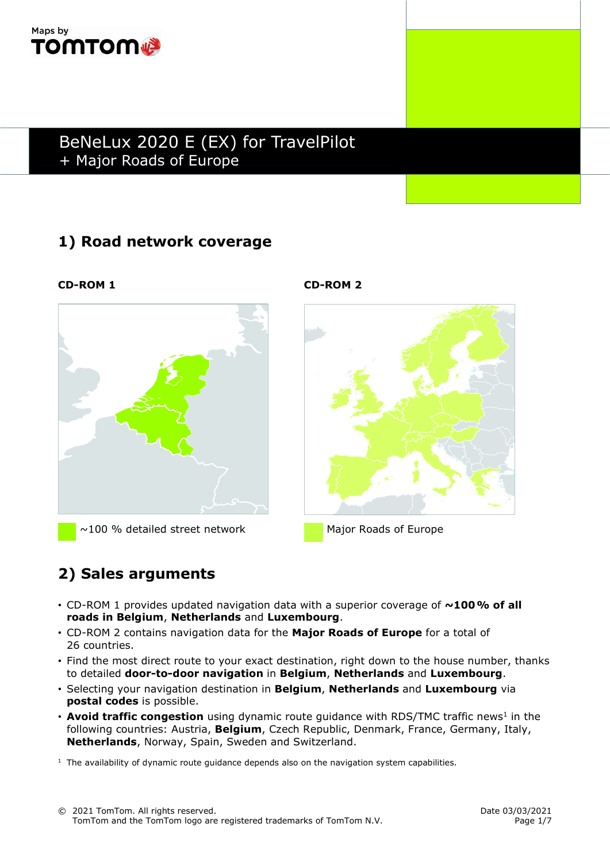

## 1) Road network coverage



 $\sim$ 100 % detailed street network Major Roads of Europe

CD-ROM 1 CD-ROM 2



# 2) Sales arguments

- CD-ROM 1 provides updated navigation data with a superior coverage of  $\sim$ 100% of all roads in Belgium, Netherlands and Luxembourg.
- CD-ROM 2 contains navigation data for the Major Roads of Europe for a total of 26 countries.
- Find the most direct route to your exact destination, right down to the house number, thanks to detailed door-to-door navigation in Belgium, Netherlands and Luxembourg.
- Selecting your navigation destination in Belgium, Netherlands and Luxembourg via postal codes is possible.
- Avoid traffic congestion using dynamic route guidance with RDS/TMC traffic news<sup>1</sup> in the following countries: Austria, **Belgium**, Czech Republic, Denmark, France, Germany, Italy, Netherlands, Norway, Spain, Sweden and Switzerland.

 $<sup>1</sup>$  The availability of dynamic route guidance depends also on the navigation system capabilities.</sup>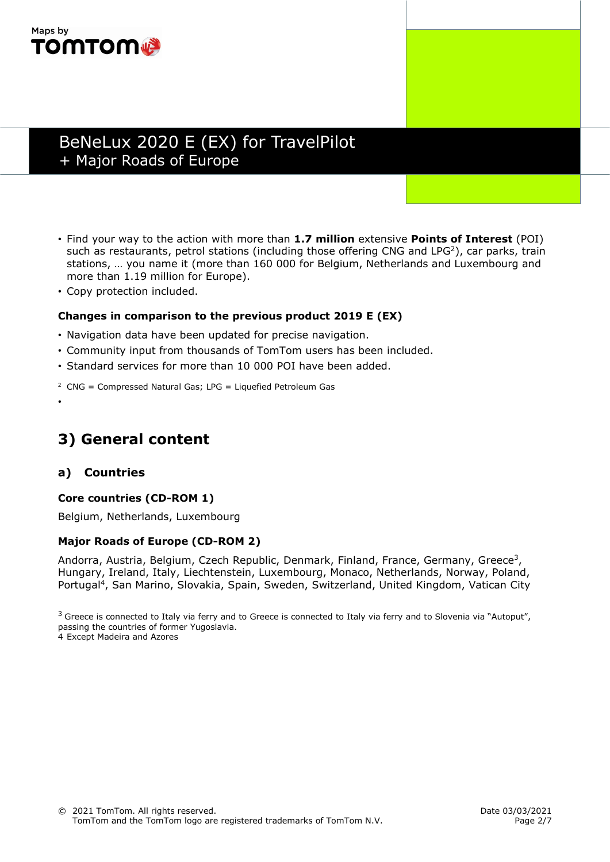

- Find your way to the action with more than 1.7 million extensive Points of Interest (POI) such as restaurants, petrol stations (including those offering CNG and LPG<sup>2</sup>), car parks, train stations, … you name it (more than 160 000 for Belgium, Netherlands and Luxembourg and more than 1.19 million for Europe).
- Copy protection included.

#### Changes in comparison to the previous product 2019 E (EX)

- Navigation data have been updated for precise navigation.
- Community input from thousands of TomTom users has been included.
- Standard services for more than 10 000 POI have been added.
- $2$  CNG = Compressed Natural Gas; LPG = Liquefied Petroleum Gas

## 3) General content

### a) Countries

•

#### Core countries (CD-ROM 1)

Belgium, Netherlands, Luxembourg

#### Major Roads of Europe (CD-ROM 2)

Andorra, Austria, Belgium, Czech Republic, Denmark, Finland, France, Germany, Greece<sup>3</sup>, Hungary, Ireland, Italy, Liechtenstein, Luxembourg, Monaco, Netherlands, Norway, Poland, Portugal<sup>4</sup>, San Marino, Slovakia, Spain, Sweden, Switzerland, United Kingdom, Vatican City

 $3$  Greece is connected to Italy via ferry and to Greece is connected to Italy via ferry and to Slovenia via "Autoput", passing the countries of former Yugoslavia.

4 Except Madeira and Azores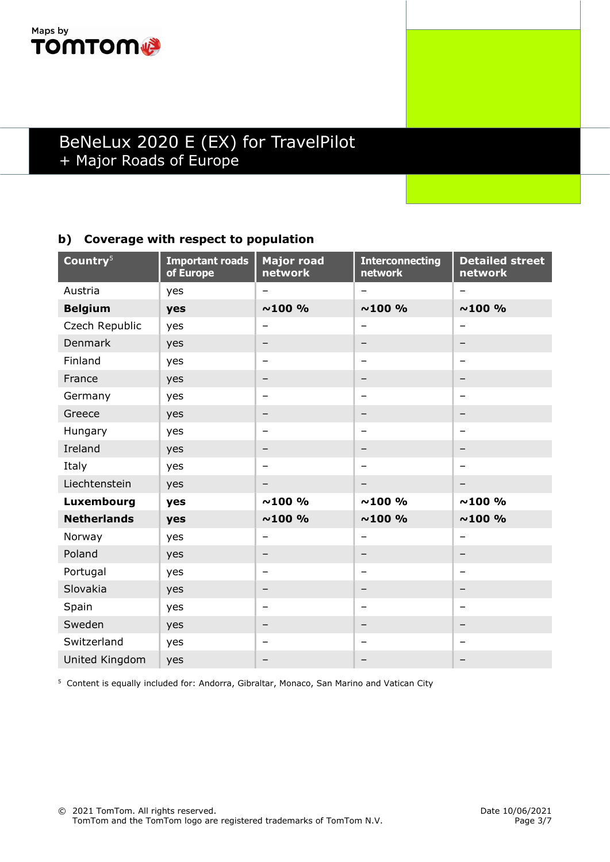

### b) Coverage with respect to population

| Country <sup>5</sup> | <b>Important roads</b><br>of Europe | <b>Major road</b><br>network | <b>Interconnecting</b><br>network | <b>Detailed street</b><br>network |
|----------------------|-------------------------------------|------------------------------|-----------------------------------|-----------------------------------|
| Austria              | yes                                 | $\overline{\phantom{0}}$     | $\qquad \qquad -$                 | -                                 |
| <b>Belgium</b>       | yes                                 | $~100\%$                     | $~100\%$                          | $~100\%$                          |
| Czech Republic       | yes                                 |                              | -                                 | —                                 |
| Denmark              | yes                                 |                              | -                                 |                                   |
| Finland              | yes                                 | $\qquad \qquad$              | -                                 | -                                 |
| France               | yes                                 |                              | -                                 | -                                 |
| Germany              | yes                                 | -                            | $\qquad \qquad$                   | $\overline{\phantom{0}}$          |
| Greece               | yes                                 |                              | $\qquad \qquad -$                 |                                   |
| Hungary              | yes                                 | $\overline{\phantom{0}}$     | $\qquad \qquad -$                 | $\overline{\phantom{0}}$          |
| Ireland              | yes                                 | -                            | -                                 |                                   |
| Italy                | yes                                 | -                            | -                                 | -                                 |
| Liechtenstein        | yes                                 | -                            | -                                 |                                   |
| Luxembourg           | yes                                 | ~100~%                       | $~100\%$                          | $~100\%$                          |
| <b>Netherlands</b>   | yes                                 | $~100\%$                     | $~100\%$                          | $~100\%$                          |
| Norway               | yes                                 | $\overline{\phantom{0}}$     | $\qquad \qquad -$                 | $\overline{\phantom{0}}$          |
| Poland               | yes                                 | $\qquad \qquad$              | -                                 | $\overline{\phantom{0}}$          |
| Portugal             | yes                                 | -                            | $\overline{\phantom{0}}$          | $\overline{\phantom{0}}$          |
| Slovakia             | yes                                 |                              | —                                 |                                   |
| Spain                | yes                                 | $\qquad \qquad$              | -                                 | -                                 |
| Sweden               | yes                                 | -                            | -                                 | -                                 |
| Switzerland          | yes                                 | $\overline{\phantom{0}}$     | -                                 | -                                 |
| United Kingdom       | yes                                 |                              | -                                 |                                   |

<sup>5</sup> Content is equally included for: Andorra, Gibraltar, Monaco, San Marino and Vatican City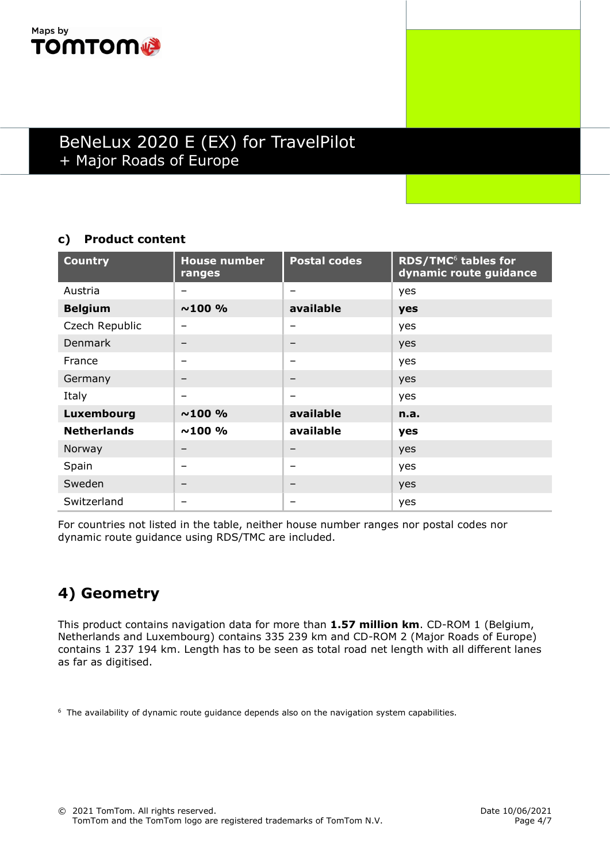

### c) Product content

| <b>Country</b>     | <b>House number</b><br>ranges | <b>Postal codes</b> | <b>RDS/TMC<sup>6</sup> tables for</b><br>dynamic route guidance |
|--------------------|-------------------------------|---------------------|-----------------------------------------------------------------|
| Austria            | -                             | -                   | yes                                                             |
| <b>Belgium</b>     | $~100\%$                      | available           | yes                                                             |
| Czech Republic     |                               | -                   | yes                                                             |
| <b>Denmark</b>     |                               | -                   | yes                                                             |
| France             | -                             | -                   | yes                                                             |
| Germany            | -                             | -                   | yes                                                             |
| Italy              | -                             | -                   | yes                                                             |
| Luxembourg         | $~100\%$                      | available           | n.a.                                                            |
| <b>Netherlands</b> | $~100\%$                      | available           | yes                                                             |
| Norway             |                               | -                   | yes                                                             |
| Spain              | -                             | -                   | yes                                                             |
| Sweden             | -                             | -                   | yes                                                             |
| Switzerland        | -                             | -                   | yes                                                             |

For countries not listed in the table, neither house number ranges nor postal codes nor dynamic route guidance using RDS/TMC are included.

## 4) Geometry

This product contains navigation data for more than 1.57 million km. CD-ROM 1 (Belgium, Netherlands and Luxembourg) contains 335 239 km and CD-ROM 2 (Major Roads of Europe) contains 1 237 194 km. Length has to be seen as total road net length with all different lanes as far as digitised.

<sup>6</sup> The availability of dynamic route guidance depends also on the navigation system capabilities.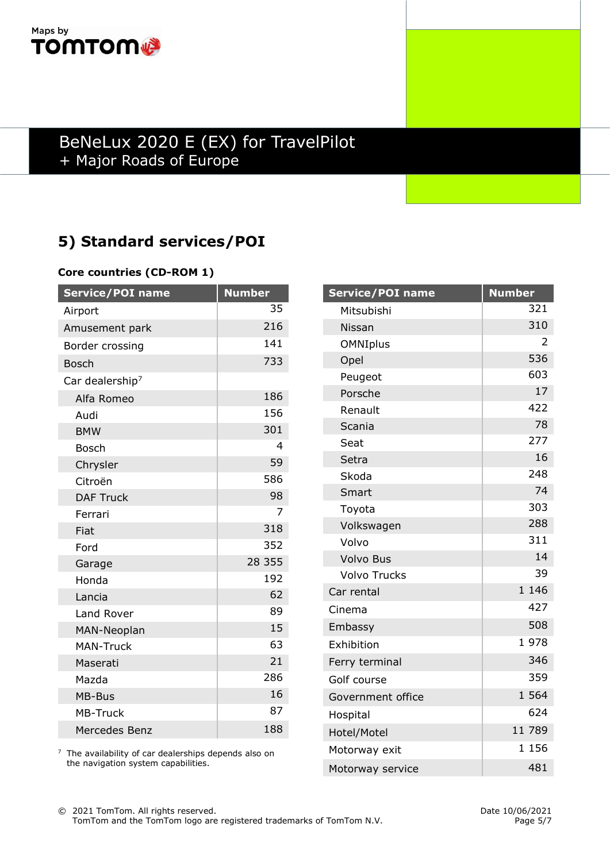

## 5) Standard services/POI

### Core countries (CD-ROM 1)

| Service/POI name            | <b>Number</b>  |
|-----------------------------|----------------|
| Airport                     | 35             |
| Amusement park              | 216            |
| Border crossing             | 141            |
| <b>Bosch</b>                | 733            |
| Car dealership <sup>7</sup> |                |
| Alfa Romeo                  | 186            |
| Audi                        | 156            |
| <b>BMW</b>                  | 301            |
| <b>Bosch</b>                | 4              |
| Chrysler                    | 59             |
| Citroën                     | 586            |
| <b>DAF Truck</b>            | 98             |
| Ferrari                     | $\overline{7}$ |
| Fiat                        | 318            |
| Ford                        | 352            |
| Garage                      | 28 355         |
| Honda                       | 192            |
| Lancia                      | 62             |
| Land Rover                  | 89             |
| MAN-Neoplan                 | 15             |
| <b>MAN-Truck</b>            | 63             |
| Maserati                    | 21             |
| Mazda                       | 286            |
| MB-Bus                      | 16             |
| <b>MB-Truck</b>             | 87             |
| Mercedes Benz               | 188            |

 $7$  The availability of car dealerships depends also on the navigation system capabilities.

| <b>Service/POI name</b> | <b>Number</b> |
|-------------------------|---------------|
| Mitsubishi              | 321           |
| Nissan                  | 310           |
| <b>OMNIplus</b>         | 2             |
| Opel                    | 536           |
| Peugeot                 | 603           |
| Porsche                 | 17            |
| Renault                 | 422           |
| Scania                  | 78            |
| Seat                    | 277           |
| Setra                   | 16            |
| Skoda                   | 248           |
| Smart                   | 74            |
| Toyota                  | 303           |
| Volkswagen              | 288           |
| Volvo                   | 311           |
| <b>Volvo Bus</b>        | 14            |
| <b>Volvo Trucks</b>     | 39            |
| Car rental              | 1 1 4 6       |
| Cinema                  | 427           |
| Embassy                 | 508           |
| Exhibition              | 1978          |
| Ferry terminal          | 346           |
| Golf course             | 359           |
| Government office       | 1 564         |
| Hospital                | 624           |
| Hotel/Motel             | 11 789        |
| Motorway exit           | 1 1 5 6       |
| Motorway service        | 481           |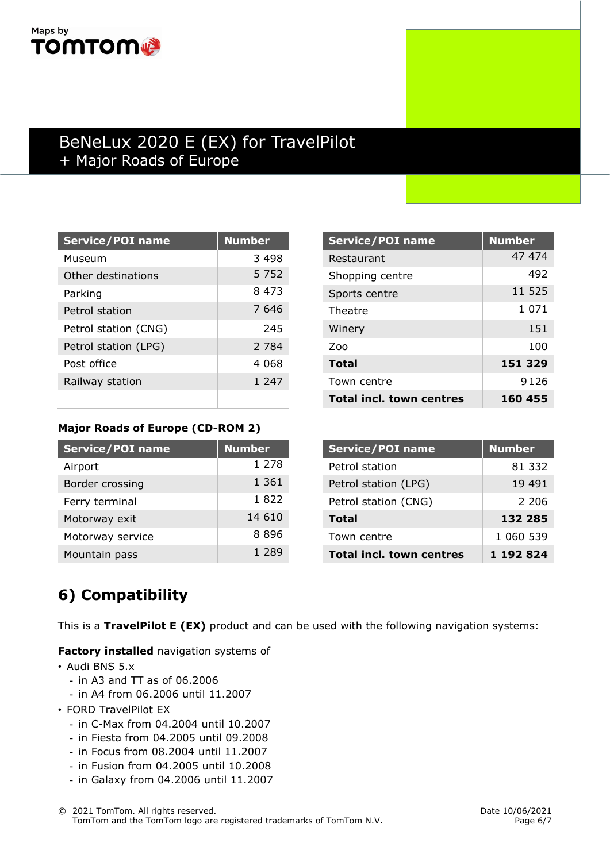## Maps by **TOMTOM®**

## BeNeLux 2020 E (EX) for TravelPilot + Major Roads of Europe

| <b>Service/POI name</b> | <b>Number</b> |
|-------------------------|---------------|
| Museum                  | 3498          |
| Other destinations      | 5 7 5 2       |
| Parking                 | 8473          |
| Petrol station          | 7646          |
| Petrol station (CNG)    | 245           |
| Petrol station (LPG)    | 2 784         |
| Post office             | 4 068         |
| Railway station         | 1 247         |
|                         |               |

| <b>Service/POI name</b>         | <b>Number</b> |
|---------------------------------|---------------|
| Restaurant                      | 47 474        |
| Shopping centre                 | 492           |
| Sports centre                   | 11 525        |
| Theatre                         | 1 071         |
| Winery                          | 151           |
| Zoo                             | 100           |
| <b>Total</b>                    | 151 329       |
| Town centre                     | 9126          |
| <b>Total incl. town centres</b> | 160 455       |

### Major Roads of Europe (CD-ROM 2)

| <b>Service/POI name</b> | <b>Number</b> |
|-------------------------|---------------|
| Airport                 | 1 278         |
| Border crossing         | 1 361         |
| Ferry terminal          | 1822          |
| Motorway exit           | 14 610        |
| Motorway service        | 8896          |
| Mountain pass           | 1 289         |

| <b>Service/POI name</b>         | <b>Number</b> |
|---------------------------------|---------------|
| Petrol station                  | 81 332        |
| Petrol station (LPG)            | 19 491        |
| Petrol station (CNG)            | 2 206         |
| <b>Total</b>                    | 132 285       |
| Town centre                     | 1 060 539     |
| <b>Total incl. town centres</b> | 1 192 824     |

# 6) Compatibility

This is a TravelPilot E (EX) product and can be used with the following navigation systems:

Factory installed navigation systems of

- Audi BNS 5.x
	- $-$  in A3 and TT as of 06.2006
	- in A4 from 06.2006 until 11.2007
- FORD TravelPilot EX
	- in C-Max from 04.2004 until 10.2007
	- in Fiesta from 04.2005 until 09.2008
	- in Focus from 08.2004 until 11.2007
	- in Fusion from 04.2005 until 10.2008
	- in Galaxy from 04.2006 until 11.2007